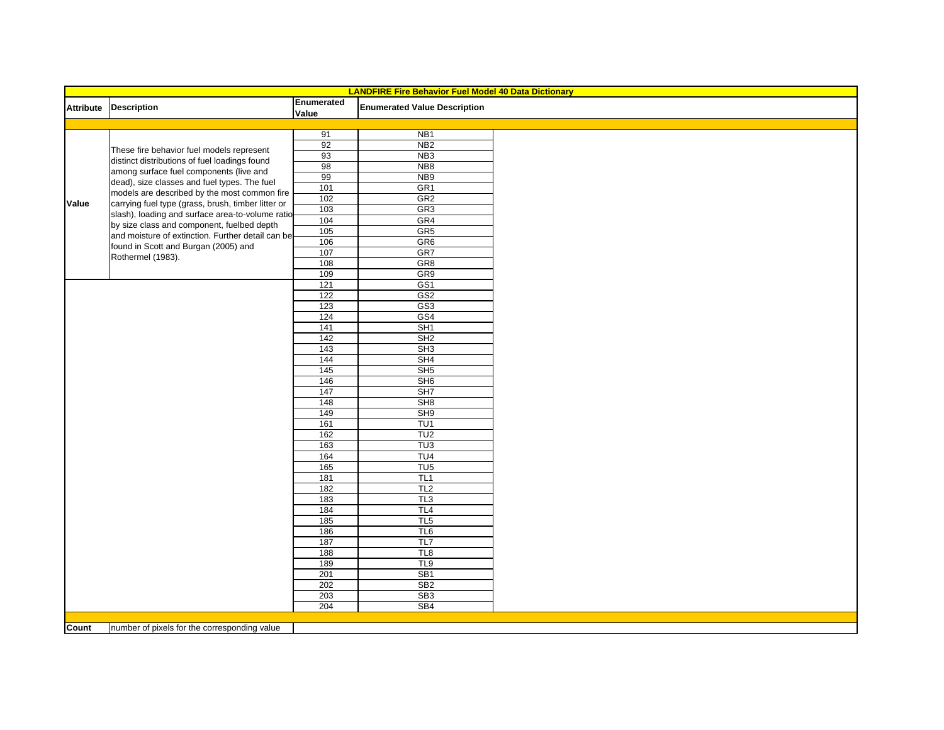| <b>LANDFIRE Fire Behavior Fuel Model 40 Data Dictionary</b> |                                                                                                                                                                                                                                                   |                     |                                     |  |  |  |  |
|-------------------------------------------------------------|---------------------------------------------------------------------------------------------------------------------------------------------------------------------------------------------------------------------------------------------------|---------------------|-------------------------------------|--|--|--|--|
|                                                             | Attribute Description                                                                                                                                                                                                                             | Enumerated<br>Value | <b>Enumerated Value Description</b> |  |  |  |  |
|                                                             |                                                                                                                                                                                                                                                   |                     |                                     |  |  |  |  |
|                                                             | These fire behavior fuel models represent                                                                                                                                                                                                         | 91                  | N <sub>B</sub> 1                    |  |  |  |  |
|                                                             |                                                                                                                                                                                                                                                   | 92                  | NB <sub>2</sub>                     |  |  |  |  |
|                                                             | distinct distributions of fuel loadings found                                                                                                                                                                                                     | 93                  | NB <sub>3</sub>                     |  |  |  |  |
|                                                             | among surface fuel components (live and<br>dead), size classes and fuel types. The fuel                                                                                                                                                           | 98                  | NB <sub>8</sub>                     |  |  |  |  |
|                                                             |                                                                                                                                                                                                                                                   | 99                  | NB <sub>9</sub>                     |  |  |  |  |
|                                                             | models are described by the most common fire                                                                                                                                                                                                      | 101                 | GR <sub>1</sub>                     |  |  |  |  |
| Value                                                       | carrying fuel type (grass, brush, timber litter or<br>slash), loading and surface area-to-volume ratio<br>by size class and component, fuelbed depth<br>and moisture of extinction. Further detail can be<br>found in Scott and Burgan (2005) and | 102                 | GR2                                 |  |  |  |  |
|                                                             |                                                                                                                                                                                                                                                   | 103                 | GR <sub>3</sub>                     |  |  |  |  |
|                                                             |                                                                                                                                                                                                                                                   | 104                 | GR4                                 |  |  |  |  |
|                                                             |                                                                                                                                                                                                                                                   | 105                 | GR <sub>5</sub>                     |  |  |  |  |
|                                                             |                                                                                                                                                                                                                                                   | 106                 | GR <sub>6</sub>                     |  |  |  |  |
|                                                             | Rothermel (1983).                                                                                                                                                                                                                                 | 107                 | GR7                                 |  |  |  |  |
|                                                             |                                                                                                                                                                                                                                                   | 108                 | GR <sub>8</sub>                     |  |  |  |  |
|                                                             |                                                                                                                                                                                                                                                   | 109                 | GR9                                 |  |  |  |  |
|                                                             |                                                                                                                                                                                                                                                   | 121                 | GS <sub>1</sub>                     |  |  |  |  |
|                                                             |                                                                                                                                                                                                                                                   | 122                 | GS <sub>2</sub>                     |  |  |  |  |
|                                                             |                                                                                                                                                                                                                                                   | 123                 | GS <sub>3</sub>                     |  |  |  |  |
|                                                             |                                                                                                                                                                                                                                                   | 124                 | GS4                                 |  |  |  |  |
|                                                             |                                                                                                                                                                                                                                                   | 141                 | SH1                                 |  |  |  |  |
|                                                             |                                                                                                                                                                                                                                                   | 142                 | SH2                                 |  |  |  |  |
|                                                             |                                                                                                                                                                                                                                                   | $\frac{143}{2}$     | SH3                                 |  |  |  |  |
|                                                             |                                                                                                                                                                                                                                                   | 144                 | SH4                                 |  |  |  |  |
|                                                             |                                                                                                                                                                                                                                                   | 145                 | SH5                                 |  |  |  |  |
|                                                             |                                                                                                                                                                                                                                                   | 146                 | SH <sub>6</sub>                     |  |  |  |  |
|                                                             |                                                                                                                                                                                                                                                   | 147                 | SH <sub>7</sub>                     |  |  |  |  |
|                                                             |                                                                                                                                                                                                                                                   | 148                 | SH8                                 |  |  |  |  |
|                                                             |                                                                                                                                                                                                                                                   | 149                 | SH <sub>9</sub>                     |  |  |  |  |
|                                                             |                                                                                                                                                                                                                                                   | 161                 | TU <sub>1</sub>                     |  |  |  |  |
|                                                             |                                                                                                                                                                                                                                                   | 162                 | TU <sub>2</sub>                     |  |  |  |  |
|                                                             |                                                                                                                                                                                                                                                   | 163                 | TU3                                 |  |  |  |  |
|                                                             |                                                                                                                                                                                                                                                   | 164                 | TU <sub>4</sub>                     |  |  |  |  |
|                                                             |                                                                                                                                                                                                                                                   | 165                 | TU5                                 |  |  |  |  |
|                                                             |                                                                                                                                                                                                                                                   | 181                 | TL1                                 |  |  |  |  |
|                                                             |                                                                                                                                                                                                                                                   | 182                 | TL <sub>2</sub>                     |  |  |  |  |
|                                                             |                                                                                                                                                                                                                                                   | 183<br>184          | TL3<br>TL <sub>4</sub>              |  |  |  |  |
|                                                             |                                                                                                                                                                                                                                                   | 185                 | TL <sub>5</sub>                     |  |  |  |  |
|                                                             |                                                                                                                                                                                                                                                   |                     | TL <sub>6</sub>                     |  |  |  |  |
|                                                             |                                                                                                                                                                                                                                                   | 186<br>187          | TL7                                 |  |  |  |  |
|                                                             |                                                                                                                                                                                                                                                   |                     | TL8                                 |  |  |  |  |
|                                                             |                                                                                                                                                                                                                                                   | 188<br>189          | TL <sub>9</sub>                     |  |  |  |  |
|                                                             |                                                                                                                                                                                                                                                   | 201                 | SB <sub>1</sub>                     |  |  |  |  |
|                                                             |                                                                                                                                                                                                                                                   | 202                 | SB <sub>2</sub>                     |  |  |  |  |
|                                                             |                                                                                                                                                                                                                                                   | 203                 | SB <sub>3</sub>                     |  |  |  |  |
|                                                             |                                                                                                                                                                                                                                                   | 204                 | SB4                                 |  |  |  |  |
|                                                             |                                                                                                                                                                                                                                                   |                     |                                     |  |  |  |  |
| Count                                                       | number of pixels for the corresponding value                                                                                                                                                                                                      |                     |                                     |  |  |  |  |
|                                                             |                                                                                                                                                                                                                                                   |                     |                                     |  |  |  |  |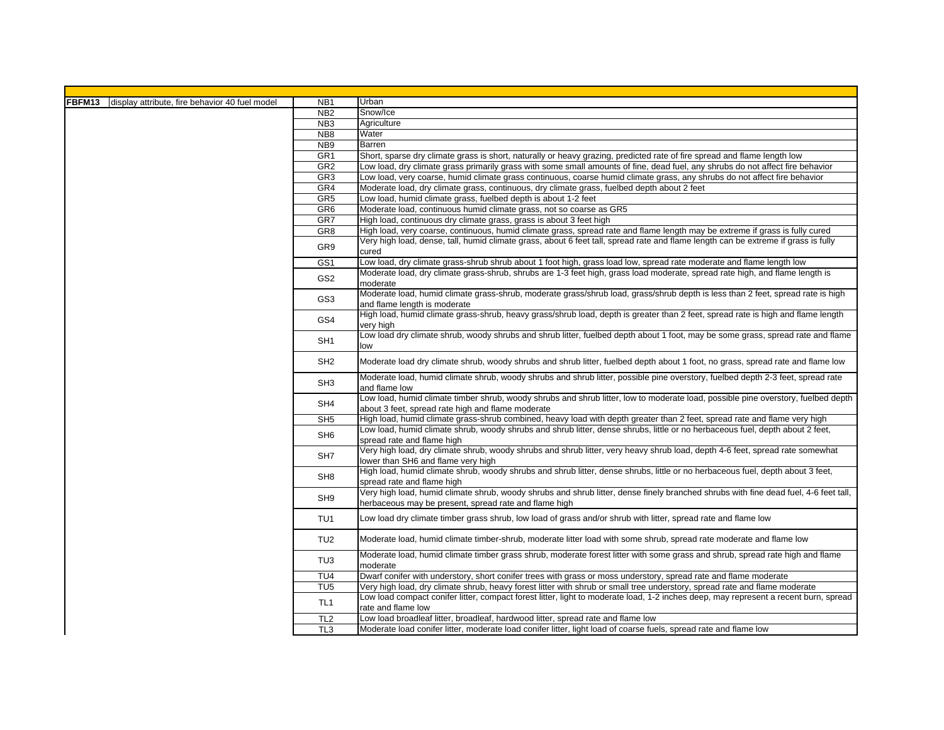| FBFM13<br>display attribute, fire behavior 40 fuel model | NB <sub>1</sub> | Urban                                                                                                                                                                                         |
|----------------------------------------------------------|-----------------|-----------------------------------------------------------------------------------------------------------------------------------------------------------------------------------------------|
|                                                          | N <sub>B2</sub> | Snow/Ice                                                                                                                                                                                      |
|                                                          | NB <sub>3</sub> | Agriculture                                                                                                                                                                                   |
|                                                          | NB <sub>8</sub> | Water                                                                                                                                                                                         |
|                                                          | NB <sub>9</sub> | Barren                                                                                                                                                                                        |
|                                                          | GR <sub>1</sub> | Short, sparse dry climate grass is short, naturally or heavy grazing, predicted rate of fire spread and flame length low                                                                      |
|                                                          | GR <sub>2</sub> | Low load, dry climate grass primarily grass with some small amounts of fine, dead fuel, any shrubs do not affect fire behavior                                                                |
|                                                          | GR <sub>3</sub> | Low load, very coarse, humid climate grass continuous, coarse humid climate grass, any shrubs do not affect fire behavior                                                                     |
|                                                          | GR4             | Moderate load, dry climate grass, continuous, dry climate grass, fuelbed depth about 2 feet                                                                                                   |
| GR <sub>5</sub>                                          |                 | Low load, humid climate grass, fuelbed depth is about 1-2 feet                                                                                                                                |
|                                                          | GR <sub>6</sub> | Moderate load, continuous humid climate grass, not so coarse as GR5                                                                                                                           |
| GR7                                                      |                 | High load, continuous dry climate grass, grass is about 3 feet high                                                                                                                           |
|                                                          | GR <sub>8</sub> | High load, very coarse, continuous, humid climate grass, spread rate and flame length may be extreme if grass is fully cured                                                                  |
| GR9                                                      |                 | Very high load, dense, tall, humid climate grass, about 6 feet tall, spread rate and flame length can be extreme if grass is fully<br>cured                                                   |
|                                                          | GS <sub>1</sub> | Low load, dry climate grass-shrub shrub about 1 foot high, grass load low, spread rate moderate and flame length low                                                                          |
|                                                          | GS <sub>2</sub> | Moderate load, dry climate grass-shrub, shrubs are 1-3 feet high, grass load moderate, spread rate high, and flame length is<br>moderate                                                      |
|                                                          | GS <sub>3</sub> | Moderate load, humid climate grass-shrub, moderate grass/shrub load, grass/shrub depth is less than 2 feet, spread rate is high<br>and flame length is moderate                               |
|                                                          | GS4             | High load, humid climate grass-shrub, heavy grass/shrub load, depth is greater than 2 feet, spread rate is high and flame length<br>very high                                                 |
|                                                          | SH <sub>1</sub> | Low load dry climate shrub, woody shrubs and shrub litter, fuelbed depth about 1 foot, may be some grass, spread rate and flame<br>low                                                        |
|                                                          | SH <sub>2</sub> | Moderate load dry climate shrub, woody shrubs and shrub litter, fuelbed depth about 1 foot, no grass, spread rate and flame low                                                               |
| SH <sub>3</sub><br>SH4<br>SH <sub>5</sub>                |                 | Moderate load, humid climate shrub, woody shrubs and shrub litter, possible pine overstory, fuelbed depth 2-3 feet, spread rate<br>and flame low                                              |
|                                                          |                 | Low load, humid climate timber shrub, woody shrubs and shrub litter, low to moderate load, possible pine overstory, fuelbed depth<br>about 3 feet, spread rate high and flame moderate        |
|                                                          |                 | High load, humid climate grass-shrub combined, heavy load with depth greater than 2 feet, spread rate and flame very high                                                                     |
|                                                          | SH <sub>6</sub> | Low load, humid climate shrub, woody shrubs and shrub litter, dense shrubs, little or no herbaceous fuel, depth about 2 feet,<br>spread rate and flame high                                   |
|                                                          | SH <sub>7</sub> | Very high load, dry climate shrub, woody shrubs and shrub litter, very heavy shrub load, depth 4-6 feet, spread rate somewhat<br>lower than SH6 and flame very high                           |
|                                                          | SH <sub>8</sub> | High load, humid climate shrub, woody shrubs and shrub litter, dense shrubs, little or no herbaceous fuel, depth about 3 feet,<br>spread rate and flame high                                  |
|                                                          | SH <sub>9</sub> | Very high load, humid climate shrub, woody shrubs and shrub litter, dense finely branched shrubs with fine dead fuel, 4-6 feet tall,<br>herbaceous may be present, spread rate and flame high |
|                                                          | TU <sub>1</sub> | Low load dry climate timber grass shrub, low load of grass and/or shrub with litter, spread rate and flame low                                                                                |
| TU <sub>2</sub>                                          |                 | Moderate load, humid climate timber-shrub, moderate litter load with some shrub, spread rate moderate and flame low                                                                           |
|                                                          | TU <sub>3</sub> | Moderate load, humid climate timber grass shrub, moderate forest litter with some grass and shrub, spread rate high and flame<br>moderate                                                     |
|                                                          | TU <sub>4</sub> | Dwarf conifer with understory, short conifer trees with grass or moss understory, spread rate and flame moderate                                                                              |
| TU <sub>5</sub>                                          |                 | Very high load, dry climate shrub, heavy forest litter with shrub or small tree understory, spread rate and flame moderate                                                                    |
|                                                          | TL <sub>1</sub> | Low load compact conifer litter, compact forest litter, light to moderate load, 1-2 inches deep, may represent a recent burn, spread<br>rate and flame low                                    |
|                                                          | TL <sub>2</sub> | Low load broadleaf litter, broadleaf, hardwood litter, spread rate and flame low                                                                                                              |
|                                                          | TL <sub>3</sub> | Moderate load conifer litter, moderate load conifer litter, light load of coarse fuels, spread rate and flame low                                                                             |